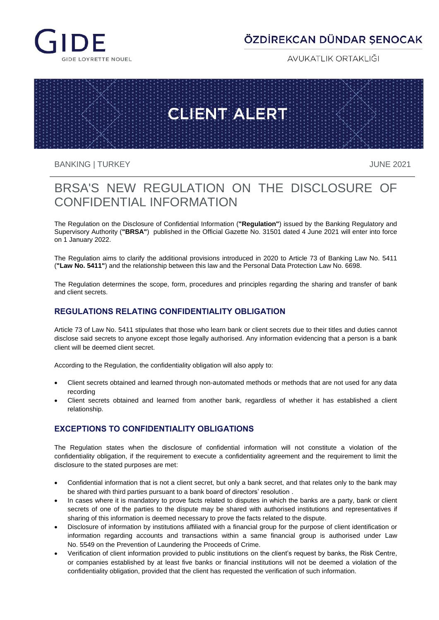

## ÖZDİREKCAN DÜNDAR SENOCAK

AVUKATLIK ORTAKLIĞI

# **CLIENT ALERT**

BANKING | TURKEY JUNE 2021

# BRSA'S NEW REGULATION ON THE DISCLOSURE OF CONFIDENTIAL INFORMATION

The Regulation on the Disclosure of Confidential Information (**"Regulation"**) issued by the Banking Regulatory and Supervisory Authority (**"BRSA"**) published in the Official Gazette No. 31501 dated 4 June 2021 will enter into force on 1 January 2022.

The Regulation aims to clarify the additional provisions introduced in 2020 to Article 73 of Banking Law No. 5411 (**"Law No. 5411"**) and the relationship between this law and the Personal Data Protection Law No. 6698.

The Regulation determines the scope, form, procedures and principles regarding the sharing and transfer of bank and client secrets.

### **REGULATIONS RELATING CONFIDENTIALITY OBLIGATION**

Article 73 of Law No. 5411 stipulates that those who learn bank or client secrets due to their titles and duties cannot disclose said secrets to anyone except those legally authorised. Any information evidencing that a person is a bank client will be deemed client secret.

According to the Regulation, the confidentiality obligation will also apply to:

- Client secrets obtained and learned through non-automated methods or methods that are not used for any data recording
- Client secrets obtained and learned from another bank, regardless of whether it has established a client relationship.

### **EXCEPTIONS TO CONFIDENTIALITY OBLIGATIONS**

The Regulation states when the disclosure of confidential information will not constitute a violation of the confidentiality obligation, if the requirement to execute a confidentiality agreement and the requirement to limit the disclosure to the stated purposes are met:

- Confidential information that is not a client secret, but only a bank secret, and that relates only to the bank may be shared with third parties pursuant to a bank board of directors' resolution .
- In cases where it is mandatory to prove facts related to disputes in which the banks are a party, bank or client secrets of one of the parties to the dispute may be shared with authorised institutions and representatives if sharing of this information is deemed necessary to prove the facts related to the dispute.
- Disclosure of information by institutions affiliated with a financial group for the purpose of client identification or information regarding accounts and transactions within a same financial group is authorised under Law No. 5549 on the Prevention of Laundering the Proceeds of Crime.
- Verification of client information provided to public institutions on the client's request by banks, the Risk Centre, or companies established by at least five banks or financial institutions will not be deemed a violation of the confidentiality obligation, provided that the client has requested the verification of such information.